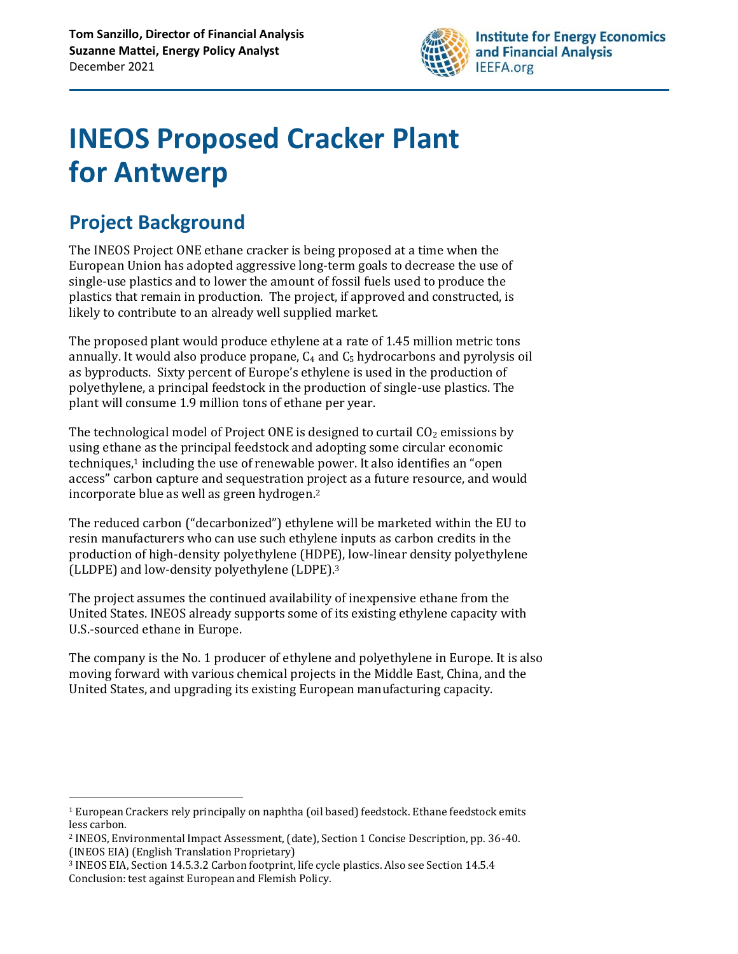

# **INEOS Proposed Cracker Plant for Antwerp**

# **Project Background**

The INEOS Project ONE ethane cracker is being proposed at a time when the European Union has adopted aggressive long-term goals to decrease the use of single-use plastics and to lower the amount of fossil fuels used to produce the plastics that remain in production. The project, if approved and constructed, is likely to contribute to an already well supplied market.

The proposed plant would produce ethylene at a rate of 1.45 million metric tons annually. It would also produce propane,  $C_4$  and  $C_5$  hydrocarbons and pyrolysis oil as byproducts. Sixty percent of Europe's ethylene is used in the production of polyethylene, a principal feedstock in the production of single-use plastics. The plant will consume 1.9 million tons of ethane per year.

The technological model of Project ONE is designed to curtail  $CO<sub>2</sub>$  emissions by using ethane as the principal feedstock and adopting some circular economic techniques,<sup>1</sup> including the use of renewable power. It also identifies an "open access" carbon capture and sequestration project as a future resource, and would incorporate blue as well as green hydrogen.<sup>2</sup>

The reduced carbon ("decarbonized") ethylene will be marketed within the EU to resin manufacturers who can use such ethylene inputs as carbon credits in the production of high-density polyethylene (HDPE), low-linear density polyethylene (LLDPE) and low-density polyethylene (LDPE).<sup>3</sup>

The project assumes the continued availability of inexpensive ethane from the United States. INEOS already supports some of its existing ethylene capacity with U.S.-sourced ethane in Europe.

The company is the No. 1 producer of ethylene and polyethylene in Europe. It is also moving forward with various chemical projects in the Middle East, China, and the United States, and upgrading its existing European manufacturing capacity.

<sup>1</sup> European Crackers rely principally on naphtha (oil based) feedstock. Ethane feedstock emits less carbon.

<sup>2</sup> INEOS, Environmental Impact Assessment, (date), Section 1 Concise Description, pp. 36-40. (INEOS EIA) (English Translation Proprietary)

<sup>3</sup> INEOS EIA, Section 14.5.3.2 Carbon footprint, life cycle plastics. Also see Section 14.5.4 Conclusion: test against European and Flemish Policy.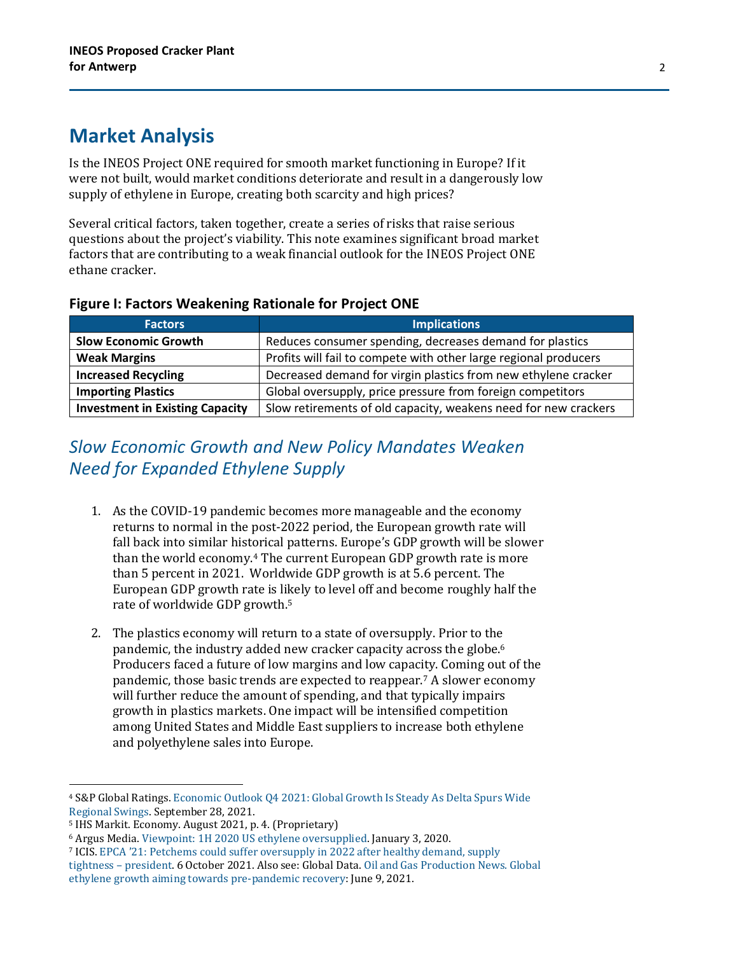## **Market Analysis**

Is the INEOS Project ONE required for smooth market functioning in Europe? If it were not built, would market conditions deteriorate and result in a dangerously low supply of ethylene in Europe, creating both scarcity and high prices?

Several critical factors, taken together, create a series of risks that raise serious questions about the project's viability. This note examines significant broad market factors that are contributing to a weak financial outlook for the INEOS Project ONE ethane cracker.

| Figure I: Factors Weakening Rationale for Project ONE |  |
|-------------------------------------------------------|--|
|                                                       |  |

| <b>Factors</b>                         | <b>Implications</b>                                              |
|----------------------------------------|------------------------------------------------------------------|
| <b>Slow Economic Growth</b>            | Reduces consumer spending, decreases demand for plastics         |
| <b>Weak Margins</b>                    | Profits will fail to compete with other large regional producers |
| <b>Increased Recycling</b>             | Decreased demand for virgin plastics from new ethylene cracker   |
| <b>Importing Plastics</b>              | Global oversupply, price pressure from foreign competitors       |
| <b>Investment in Existing Capacity</b> | Slow retirements of old capacity, weakens need for new crackers  |

### *Slow Economic Growth and New Policy Mandates Weaken Need for Expanded Ethylene Supply*

- 1. As the COVID-19 pandemic becomes more manageable and the economy returns to normal in the post-2022 period, the European growth rate will fall back into similar historical patterns. Europe's GDP growth will be slower than the world economy.<sup>4</sup> The current European GDP growth rate is more than 5 percent in 2021. Worldwide GDP growth is at 5.6 percent. The European GDP growth rate is likely to level off and become roughly half the rate of worldwide GDP growth.<sup>5</sup>
- 2. The plastics economy will return to a state of oversupply. Prior to the pandemic, the industry added new cracker capacity across the globe.<sup>6</sup> Producers faced a future of low margins and low capacity. Coming out of the pandemic, those basic trends are expected to reappear.<sup>7</sup> A slower economy will further reduce the amount of spending, and that typically impairs growth in plastics markets. One impact will be intensified competition among United States and Middle East suppliers to increase both ethylene and polyethylene sales into Europe.

<sup>4</sup> S&P Global Ratings. [Economic Outlook Q4 2021: Global Growth Is Steady As Delta Spurs Wide](https://www.spglobal.com/ratings/en/research/articles/210928-economic-outlook-q4-2021-global-growth-is-steady-as-delta-spurs-wide-regional-swings-12126694)  [Regional Swings.](https://www.spglobal.com/ratings/en/research/articles/210928-economic-outlook-q4-2021-global-growth-is-steady-as-delta-spurs-wide-regional-swings-12126694) September 28, 2021.

<sup>5</sup> IHS Markit. Economy. August 2021, p. 4. (Proprietary)

<sup>6</sup> Argus Media. [Viewpoint: 1H 2020 US ethylene oversupplied.](https://www.argusmedia.com/en/news/2044790-viewpoint-1h-2020-us-ethylene-oversupplied) January 3, 2020.

<sup>7</sup> ICIS. [EPCA '21: Petchems could suffer oversupply in 2022 after healthy dema](https://www.icis.com/explore/resources/news/2021/10/06/10692034/epca-21-petchems-could-suffer-oversupply-in-2022-after-healthy-demand-supply-tightness-president)nd, supply tightness – [president.](https://www.icis.com/explore/resources/news/2021/10/06/10692034/epca-21-petchems-could-suffer-oversupply-in-2022-after-healthy-demand-supply-tightness-president) 6 October 2021. Also see: Global Data. [Oil and Gas Production News. Global](https://www.oilandgasproductnews.com/article/36671/global-ethylene-growth-aiming-towards-pre-pandemic-recovery-globaldata)  [ethylene growth aiming towards pre-pandemic recovery:](https://www.oilandgasproductnews.com/article/36671/global-ethylene-growth-aiming-towards-pre-pandemic-recovery-globaldata) June 9, 2021.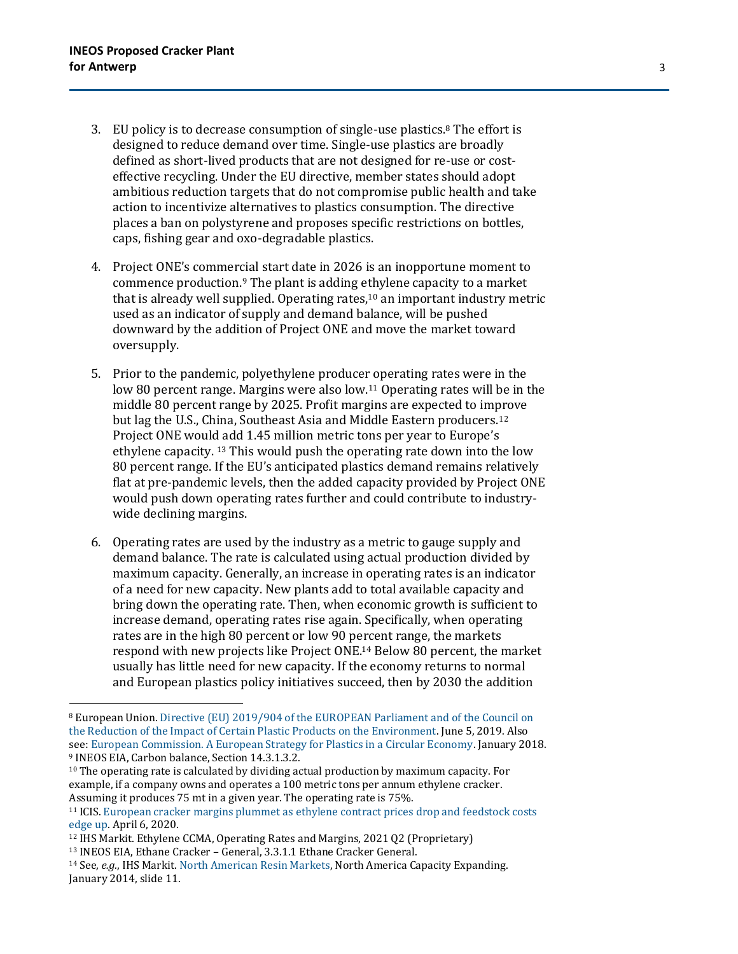- 3. EU policy is to decrease consumption of single-use plastics.<sup>8</sup> The effort is designed to reduce demand over time. Single-use plastics are broadly defined as short-lived products that are not designed for re-use or costeffective recycling. Under the EU directive, member states should adopt ambitious reduction targets that do not compromise public health and take action to incentivize alternatives to plastics consumption. The directive places a ban on polystyrene and proposes specific restrictions on bottles, caps, fishing gear and oxo-degradable plastics.
- 4. Project ONE's commercial start date in 2026 is an inopportune moment to commence production.<sup>9</sup> The plant is adding ethylene capacity to a market that is already well supplied. Operating rates,<sup>10</sup> an important industry metric used as an indicator of supply and demand balance, will be pushed downward by the addition of Project ONE and move the market toward oversupply.
- 5. Prior to the pandemic, polyethylene producer operating rates were in the low 80 percent range. Margins were also low.<sup>11</sup> Operating rates will be in the middle 80 percent range by 2025. Profit margins are expected to improve but lag the U.S., China, Southeast Asia and Middle Eastern producers.<sup>12</sup> Project ONE would add 1.45 million metric tons per year to Europe's ethylene capacity. <sup>13</sup> This would push the operating rate down into the low 80 percent range. If the EU's anticipated plastics demand remains relatively flat at pre-pandemic levels, then the added capacity provided by Project ONE would push down operating rates further and could contribute to industrywide declining margins.
- 6. Operating rates are used by the industry as a metric to gauge supply and demand balance. The rate is calculated using actual production divided by maximum capacity. Generally, an increase in operating rates is an indicator of a need for new capacity. New plants add to total available capacity and bring down the operating rate. Then, when economic growth is sufficient to increase demand, operating rates rise again. Specifically, when operating rates are in the high 80 percent or low 90 percent range, the markets respond with new projects like Project ONE.<sup>14</sup> Below 80 percent, the market usually has little need for new capacity. If the economy returns to normal and European plastics policy initiatives succeed, then by 2030 the addition

<sup>8</sup> European Union. [Directive \(EU\) 2019/904 of the EUROPEAN Parliament and of the Council on](https://eur-lex.europa.eu/eli/dir/2019/904/oj)  [the Reduction of the Impact of Certain Plastic Products on the Environment.](https://eur-lex.europa.eu/eli/dir/2019/904/oj) June 5, 2019. Also see[: European Commission. A European Strategy for Plastics in a Circular Economy.](https://www.europarc.org/wp-content/uploads/2018/01/Eu-plastics-strategy-brochure.pdf) January 2018. 9 INEOS EIA, Carbon balance, Section 14.3.1.3.2.

 $10$  The operating rate is calculated by dividing actual production by maximum capacity. For example, if a company owns and operates a 100 metric tons per annum ethylene cracker. Assuming it produces 75 mt in a given year. The operating rate is 75%.

<sup>11</sup> ICIS. [European cracker margins plummet as ethylene contract prices drop and feedstock costs](https://www.icis.com/explore/resources/news/2020/04/06/10493889/europe-crac%20ker-margins-plummet-as-ethylene-contract-prices-drop-and-feedstock-costs-edge-up)  [edge up.](https://www.icis.com/explore/resources/news/2020/04/06/10493889/europe-crac%20ker-margins-plummet-as-ethylene-contract-prices-drop-and-feedstock-costs-edge-up) April 6, 2020.

<sup>12</sup> IHS Markit. Ethylene CCMA, Operating Rates and Margins, 2021 Q2 (Proprietary)

<sup>13</sup> INEOS EIA, Ethane Cracker – General, 3.3.1.1 Ethane Cracker General.

<sup>14</sup> See, *e.g.*, IHS Markit. [North American Resin Markets,](http://westernplastics.org/wp-content/uploads/2014/01/Joel-Morales-Presentation.pdf) North America Capacity Expanding. January 2014, slide 11.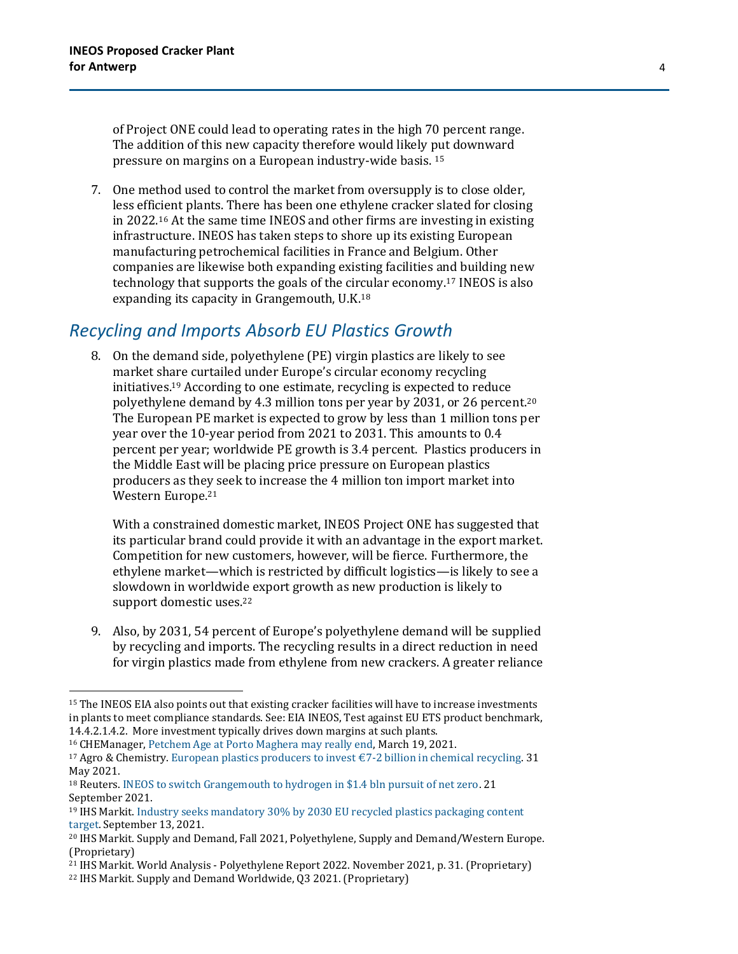of Project ONE could lead to operating rates in the high 70 percent range. The addition of this new capacity therefore would likely put downward pressure on margins on a European industry-wide basis. <sup>15</sup>

7. One method used to control the market from oversupply is to close older, less efficient plants. There has been one ethylene cracker slated for closing in 2022.<sup>16</sup> At the same time INEOS and other firms are investing in existing infrastructure. INEOS has taken steps to shore up its existing European manufacturing petrochemical facilities in France and Belgium. Other companies are likewise both expanding existing facilities and building new technology that supports the goals of the circular economy.<sup>17</sup> INEOS is also expanding its capacity in Grangemouth, U.K.<sup>18</sup>

#### *Recycling and Imports Absorb EU Plastics Growth*

8. On the demand side, polyethylene (PE) virgin plastics are likely to see market share curtailed under Europe's circular economy recycling initiatives.<sup>19</sup> According to one estimate, recycling is expected to reduce polyethylene demand by 4.3 million tons per year by 2031, or 26 percent.<sup>20</sup> The European PE market is expected to grow by less than 1 million tons per year over the 10-year period from 2021 to 2031. This amounts to 0.4 percent per year; worldwide PE growth is 3.4 percent. Plastics producers in the Middle East will be placing price pressure on European plastics producers as they seek to increase the 4 million ton import market into Western Europe.<sup>21</sup>

With a constrained domestic market, INEOS Project ONE has suggested that its particular brand could provide it with an advantage in the export market. Competition for new customers, however, will be fierce. Furthermore, the ethylene market—which is restricted by difficult logistics—is likely to see a slowdown in worldwide export growth as new production is likely to support domestic uses.<sup>22</sup>

9. Also, by 2031, 54 percent of Europe's polyethylene demand will be supplied by recycling and imports. The recycling results in a direct reduction in need for virgin plastics made from ethylene from new crackers. A greater reliance

<sup>16</sup> CHEManager[, Petchem Age at Porto Maghera may really end,](https://www.chemanager-online.com/en/news/petchems-age-porto-marghera-may-really-end) March 19, 2021.

<sup>15</sup> The INEOS EIA also points out that existing cracker facilities will have to increase investments in plants to meet compliance standards. See: EIA INEOS, Test against EU ETS product benchmark, 14.4.2.1.4.2. More investment typically drives down margins at such plants.

<sup>&</sup>lt;sup>17</sup> Agro & Chemistry[. European plastics producers to invest](https://www.agro-chemistry.com/news/european-plastics-producers-to-invest-e7-2-billion-in-chemical-recycling/)  $\epsilon$ 7-2 billion in chemical recycling. 31 May 2021.

<sup>18</sup> Reuters. [INEOS to switch Grangemouth to hydrogen in \\$1.4 bln pursuit of net zero.](https://www.reuters.com/business/energy/ineos-switch-grangemouth-hydrogen-14-bln-pursuit-net-zero-2021-09-21/) 21 September 2021.

<sup>19</sup> IHS Markit. [Industry seeks mandatory 30% by 2030 EU recycled plastics packaging content](https://ihsmarkit.com/research-analysis/industry-seeks-mandatory-30-by-2030-eu-recycled-plastics-packa.html)  [target.](https://ihsmarkit.com/research-analysis/industry-seeks-mandatory-30-by-2030-eu-recycled-plastics-packa.html) September 13, 2021.

<sup>20</sup> IHS Markit. Supply and Demand, Fall 2021, Polyethylene, Supply and Demand/Western Europe. (Proprietary)

<sup>21</sup> IHS Markit. World Analysis - Polyethylene Report 2022. November 2021, p. 31. (Proprietary)

<sup>22</sup> IHS Markit. Supply and Demand Worldwide, Q3 2021. (Proprietary)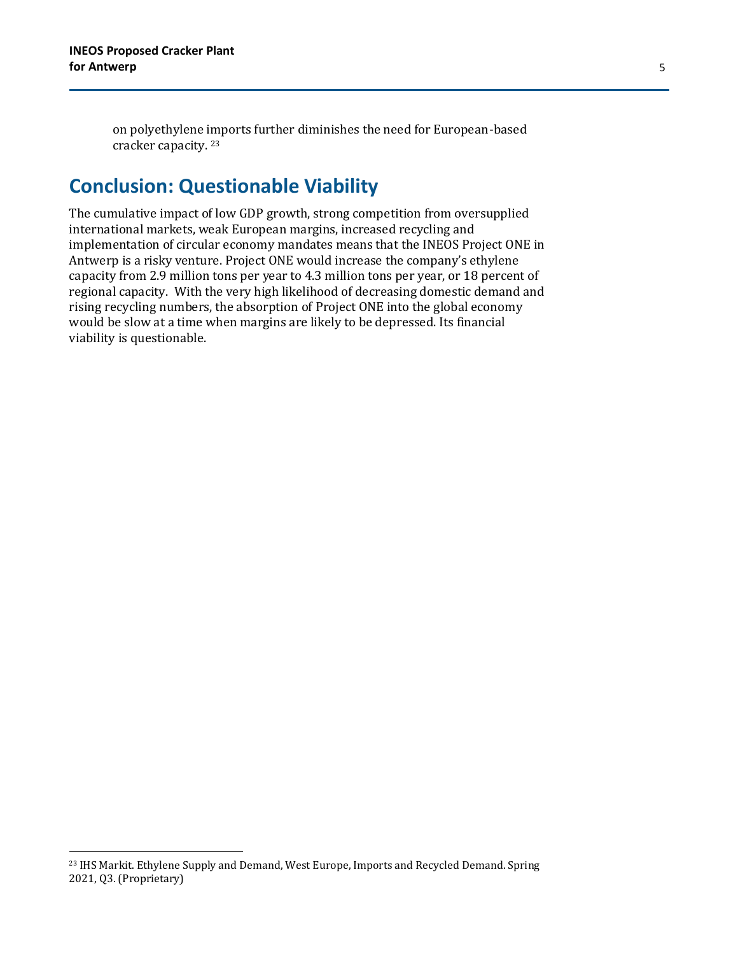on polyethylene imports further diminishes the need for European-based cracker capacity. <sup>23</sup>

## **Conclusion: Questionable Viability**

The cumulative impact of low GDP growth, strong competition from oversupplied international markets, weak European margins, increased recycling and implementation of circular economy mandates means that the INEOS Project ONE in Antwerp is a risky venture. Project ONE would increase the company's ethylene capacity from 2.9 million tons per year to 4.3 million tons per year, or 18 percent of regional capacity. With the very high likelihood of decreasing domestic demand and rising recycling numbers, the absorption of Project ONE into the global economy would be slow at a time when margins are likely to be depressed. Its financial viability is questionable.

<sup>&</sup>lt;sup>23</sup> IHS Markit. Ethylene Supply and Demand, West Europe, Imports and Recycled Demand. Spring 2021, Q3. (Proprietary)